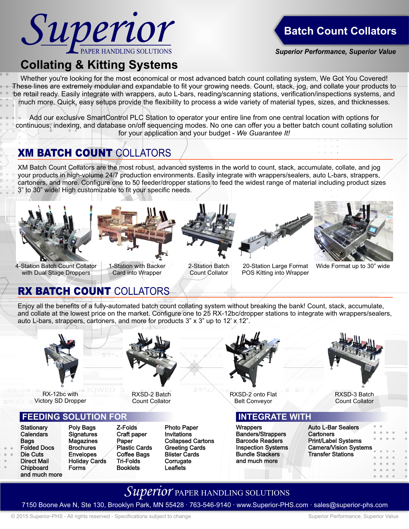

## **Batch Count Collators**

*Superior Performance, Superior Value*

# **Collating & Kitting Systems**

Whether you're looking for the most economical or most advanced batch count collating system, We Got You Covered! These lines are extremely modular and expandable to fit your growing needs. Count, stack, jog, and collate your products to be retail ready. Easily integrate with wrappers, auto L-bars, reading/scanning stations, verification/inspections systems, and much more. Quick, easy setups provide the flexibility to process a wide variety of material types, sizes, and thicknesses.

Add our exclusive SmartControl PLC Station to operator your entire line from one central location with options for continuous, indexing, and database on/off sequencing modes. No one can offer you a better batch count collating solution for your application and your budget - *We Guarantee It!*

## **XM BATCH COUNT COLLATORS**

XM Batch Count Collators are the most robust, advanced systems in the world to count, stack, accumulate, collate, and jog your products in high-volume 24/7 production environments. Easily integrate with wrappers/sealers, auto L-bars, strappers, cartoners, and more. Configure one to 50 feeder/dropper stations to feed the widest range of material including product sizes 3" to 30" wide! High customizable to fit your specific needs.





4-Station Batch Count Collator with Dual Stage Droppers

1-Station with Backer Card into Wrapper



2-Station Batch Count Collator

20-Station Large Format POS Kitting into Wrapper



Wide Format up to 30" wide

## RX BATCH COUNT COLLATORS

Enjoy all the benefits of a fully-automated batch count collating system without breaking the bank! Count, stack, accumulate, and collate at the lowest price on the market. Configure one to 25 RX-12bc/dropper stations to integrate with wrappers/sealers, auto L-bars, strappers, cartoners, and more for products  $3" \times 3"$  up to  $12' \times 42"$ .



RX-12bc with Victory SD Dropper

### **FEEDING SOLUTION FOR**

Chipboard Forms and much more

Stationary Poly Bags Z-Folds Photo Paper<br>Calendars Signatures Craft paper Invitations Signatures Craft paper<br>
Magazines Paper Brochures Plastic Cards Greeting Cards Die Cuts Envelopes Coffee Bags Blister Cards<br>Direct Mail Holiday Cards Tri-Folds Corrugate Holiday Cards Tri-Folds Corrugate<br>
Forms / Booklets Leaflets

RXSD-2 Batch Count Collator

Bags Magazines Paper Collapsed Cartons



RXSD-2 onto Flat Belt Conveyor

#### **INTEGRATE WIT**

Wrappers Banders/Strappers **Barcode Readers Bundle Stackers** and much more Inspection Systems



RXSD-3 Batch Count Collator

| <b>Auto L-Bar Sealers</b>    |
|------------------------------|
| Cartoners                    |
| Print/Label Systems          |
| <b>Camera/Vision Systems</b> |
| <b>Transfer Stations</b>     |

## *Superior* paper handling solutions

7150 Boone Ave N, Ste 130, Brooklyn Park, MN 55428 ∙ 763-546-9140 ∙ www.Superior-PHS.com ∙ sales@superior-phs.com